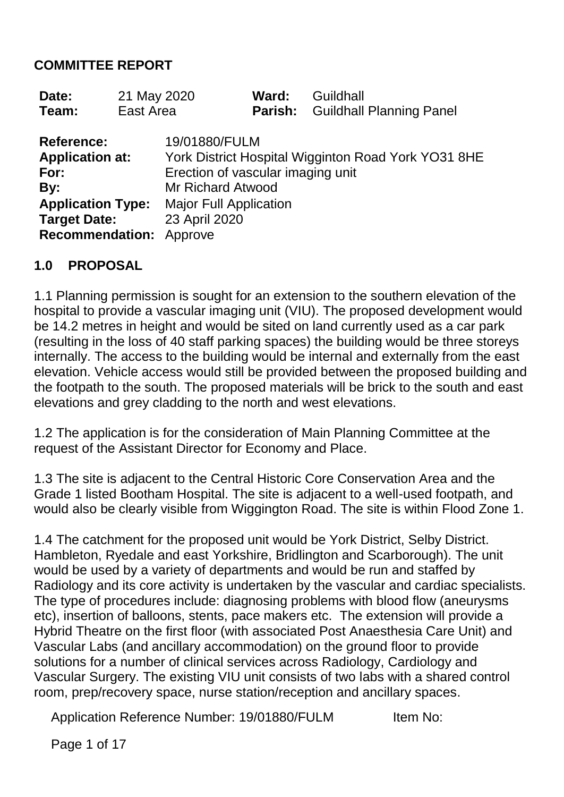#### **COMMITTEE REPORT**

| Date: | 21 May 2020 | <b>Ward:</b> Guildhall |                                         |
|-------|-------------|------------------------|-----------------------------------------|
| Team: | East Area   |                        | <b>Parish:</b> Guildhall Planning Panel |

| 19/01880/FULM                                       |
|-----------------------------------------------------|
| York District Hospital Wigginton Road York YO31 8HE |
| Erection of vascular imaging unit                   |
| <b>Mr Richard Atwood</b>                            |
| <b>Major Full Application</b>                       |
| 23 April 2020                                       |
| <b>Recommendation: Approve</b>                      |
|                                                     |

#### **1.0 PROPOSAL**

1.1 Planning permission is sought for an extension to the southern elevation of the hospital to provide a vascular imaging unit (VIU). The proposed development would be 14.2 metres in height and would be sited on land currently used as a car park (resulting in the loss of 40 staff parking spaces) the building would be three storeys internally. The access to the building would be internal and externally from the east elevation. Vehicle access would still be provided between the proposed building and the footpath to the south. The proposed materials will be brick to the south and east elevations and grey cladding to the north and west elevations.

1.2 The application is for the consideration of Main Planning Committee at the request of the Assistant Director for Economy and Place.

1.3 The site is adjacent to the Central Historic Core Conservation Area and the Grade 1 listed Bootham Hospital. The site is adjacent to a well-used footpath, and would also be clearly visible from Wiggington Road. The site is within Flood Zone 1.

1.4 The catchment for the proposed unit would be York District, Selby District. Hambleton, Ryedale and east Yorkshire, Bridlington and Scarborough). The unit would be used by a variety of departments and would be run and staffed by Radiology and its core activity is undertaken by the vascular and cardiac specialists. The type of procedures include: diagnosing problems with blood flow (aneurysms etc), insertion of balloons, stents, pace makers etc. The extension will provide a Hybrid Theatre on the first floor (with associated Post Anaesthesia Care Unit) and Vascular Labs (and ancillary accommodation) on the ground floor to provide solutions for a number of clinical services across Radiology, Cardiology and Vascular Surgery. The existing VIU unit consists of two labs with a shared control room, prep/recovery space, nurse station/reception and ancillary spaces.

Application Reference Number: 19/01880/FULM Item No:

Page 1 of 17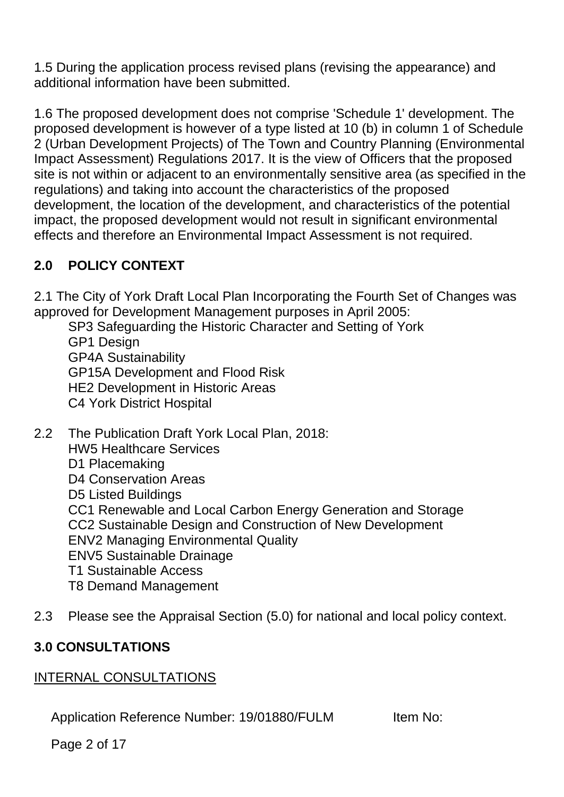1.5 During the application process revised plans (revising the appearance) and additional information have been submitted.

1.6 The proposed development does not comprise 'Schedule 1' development. The proposed development is however of a type listed at 10 (b) in column 1 of Schedule 2 (Urban Development Projects) of The Town and Country Planning (Environmental Impact Assessment) Regulations 2017. It is the view of Officers that the proposed site is not within or adjacent to an environmentally sensitive area (as specified in the regulations) and taking into account the characteristics of the proposed development, the location of the development, and characteristics of the potential impact, the proposed development would not result in significant environmental effects and therefore an Environmental Impact Assessment is not required.

# **2.0 POLICY CONTEXT**

2.1 The City of York Draft Local Plan Incorporating the Fourth Set of Changes was approved for Development Management purposes in April 2005:

SP3 Safeguarding the Historic Character and Setting of York GP1 Design GP4A Sustainability GP15A Development and Flood Risk HE2 Development in Historic Areas C4 York District Hospital

- 2.2 The Publication Draft York Local Plan, 2018: HW5 Healthcare Services D1 Placemaking D4 Conservation Areas D5 Listed Buildings CC1 Renewable and Local Carbon Energy Generation and Storage CC2 Sustainable Design and Construction of New Development ENV2 Managing Environmental Quality ENV5 Sustainable Drainage T1 Sustainable Access T8 Demand Management
- 2.3 Please see the Appraisal Section (5.0) for national and local policy context.

## **3.0 CONSULTATIONS**

## INTERNAL CONSULTATIONS

Application Reference Number: 19/01880/FULM Item No:

Page 2 of 17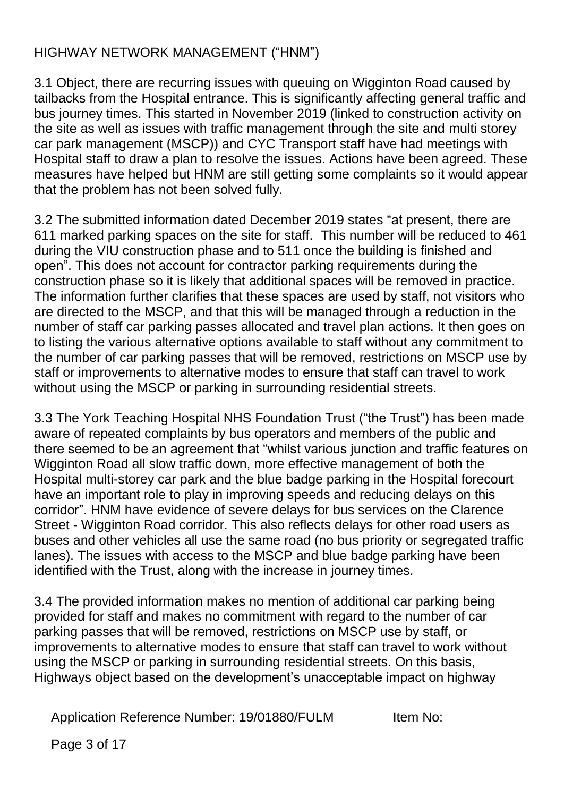## HIGHWAY NETWORK MANAGEMENT ("HNM")

3.1 Object, there are recurring issues with queuing on Wigginton Road caused by tailbacks from the Hospital entrance. This is significantly affecting general traffic and bus journey times. This started in November 2019 (linked to construction activity on the site as well as issues with traffic management through the site and multi storey car park management (MSCP)) and CYC Transport staff have had meetings with Hospital staff to draw a plan to resolve the issues. Actions have been agreed. These measures have helped but HNM are still getting some complaints so it would appear that the problem has not been solved fully.

3.2 The submitted information dated December 2019 states "at present, there are 611 marked parking spaces on the site for staff. This number will be reduced to 461 during the VIU construction phase and to 511 once the building is finished and open". This does not account for contractor parking requirements during the construction phase so it is likely that additional spaces will be removed in practice. The information further clarifies that these spaces are used by staff, not visitors who are directed to the MSCP, and that this will be managed through a reduction in the number of staff car parking passes allocated and travel plan actions. It then goes on to listing the various alternative options available to staff without any commitment to the number of car parking passes that will be removed, restrictions on MSCP use by staff or improvements to alternative modes to ensure that staff can travel to work without using the MSCP or parking in surrounding residential streets.

3.3 The York Teaching Hospital NHS Foundation Trust ("the Trust") has been made aware of repeated complaints by bus operators and members of the public and there seemed to be an agreement that "whilst various junction and traffic features on Wigginton Road all slow traffic down, more effective management of both the Hospital multi-storey car park and the blue badge parking in the Hospital forecourt have an important role to play in improving speeds and reducing delays on this corridor". HNM have evidence of severe delays for bus services on the Clarence Street - Wigginton Road corridor. This also reflects delays for other road users as buses and other vehicles all use the same road (no bus priority or segregated traffic lanes). The issues with access to the MSCP and blue badge parking have been identified with the Trust, along with the increase in journey times.

3.4 The provided information makes no mention of additional car parking being provided for staff and makes no commitment with regard to the number of car parking passes that will be removed, restrictions on MSCP use by staff, or improvements to alternative modes to ensure that staff can travel to work without using the MSCP or parking in surrounding residential streets. On this basis, Highways object based on the development's unacceptable impact on highway

Application Reference Number: 19/01880/FULM Item No:

Page 3 of 17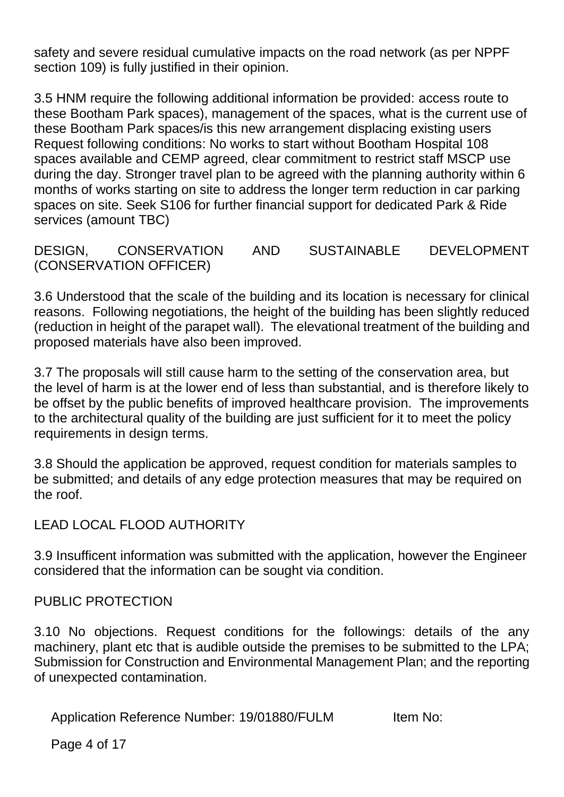safety and severe residual cumulative impacts on the road network (as per NPPF section 109) is fully justified in their opinion.

3.5 HNM require the following additional information be provided: access route to these Bootham Park spaces), management of the spaces, what is the current use of these Bootham Park spaces/is this new arrangement displacing existing users Request following conditions: No works to start without Bootham Hospital 108 spaces available and CEMP agreed, clear commitment to restrict staff MSCP use during the day. Stronger travel plan to be agreed with the planning authority within 6 months of works starting on site to address the longer term reduction in car parking spaces on site. Seek S106 for further financial support for dedicated Park & Ride services (amount TBC)

DESIGN, CONSERVATION AND SUSTAINABLE DEVELOPMENT (CONSERVATION OFFICER)

3.6 Understood that the scale of the building and its location is necessary for clinical reasons. Following negotiations, the height of the building has been slightly reduced (reduction in height of the parapet wall). The elevational treatment of the building and proposed materials have also been improved.

3.7 The proposals will still cause harm to the setting of the conservation area, but the level of harm is at the lower end of less than substantial, and is therefore likely to be offset by the public benefits of improved healthcare provision. The improvements to the architectural quality of the building are just sufficient for it to meet the policy requirements in design terms.

3.8 Should the application be approved, request condition for materials samples to be submitted; and details of any edge protection measures that may be required on the roof.

## LEAD LOCAL FLOOD AUTHORITY

3.9 Insufficent information was submitted with the application, however the Engineer considered that the information can be sought via condition.

#### PUBLIC PROTECTION

3.10 No objections. Request conditions for the followings: details of the any machinery, plant etc that is audible outside the premises to be submitted to the LPA; Submission for Construction and Environmental Management Plan; and the reporting of unexpected contamination.

Application Reference Number: 19/01880/FULM Item No:

Page 4 of 17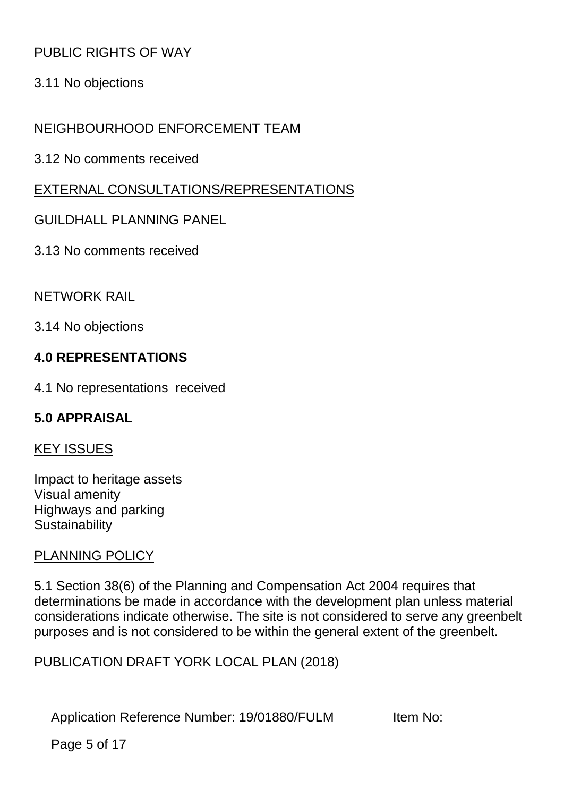## PUBLIC RIGHTS OF WAY

3.11 No objections

## NEIGHBOURHOOD ENFORCEMENT TEAM

3.12 No comments received

## EXTERNAL CONSULTATIONS/REPRESENTATIONS

#### GUILDHALL PLANNING PANEL

3.13 No comments received

#### NETWORK RAIL

3.14 No objections

## **4.0 REPRESENTATIONS**

4.1 No representations received

## **5.0 APPRAISAL**

#### KEY ISSUES

Impact to heritage assets Visual amenity Highways and parking **Sustainability** 

#### PLANNING POLICY

5.1 Section 38(6) of the Planning and Compensation Act 2004 requires that determinations be made in accordance with the development plan unless material considerations indicate otherwise. The site is not considered to serve any greenbelt purposes and is not considered to be within the general extent of the greenbelt.

PUBLICATION DRAFT YORK LOCAL PLAN (2018)

Application Reference Number: 19/01880/FULM Item No:

Page 5 of 17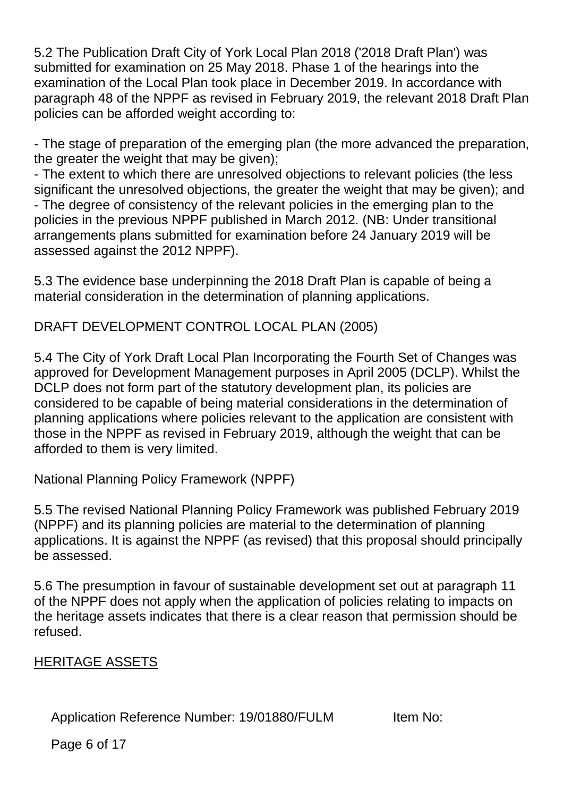5.2 The Publication Draft City of York Local Plan 2018 ('2018 Draft Plan') was submitted for examination on 25 May 2018. Phase 1 of the hearings into the examination of the Local Plan took place in December 2019. In accordance with paragraph 48 of the NPPF as revised in February 2019, the relevant 2018 Draft Plan policies can be afforded weight according to:

- The stage of preparation of the emerging plan (the more advanced the preparation, the greater the weight that may be given);

- The extent to which there are unresolved objections to relevant policies (the less significant the unresolved objections, the greater the weight that may be given); and - The degree of consistency of the relevant policies in the emerging plan to the policies in the previous NPPF published in March 2012. (NB: Under transitional arrangements plans submitted for examination before 24 January 2019 will be assessed against the 2012 NPPF).

5.3 The evidence base underpinning the 2018 Draft Plan is capable of being a material consideration in the determination of planning applications.

DRAFT DEVELOPMENT CONTROL LOCAL PLAN (2005)

5.4 The City of York Draft Local Plan Incorporating the Fourth Set of Changes was approved for Development Management purposes in April 2005 (DCLP). Whilst the DCLP does not form part of the statutory development plan, its policies are considered to be capable of being material considerations in the determination of planning applications where policies relevant to the application are consistent with those in the NPPF as revised in February 2019, although the weight that can be afforded to them is very limited.

National Planning Policy Framework (NPPF)

5.5 The revised National Planning Policy Framework was published February 2019 (NPPF) and its planning policies are material to the determination of planning applications. It is against the NPPF (as revised) that this proposal should principally be assessed.

5.6 The presumption in favour of sustainable development set out at paragraph 11 of the NPPF does not apply when the application of policies relating to impacts on the heritage assets indicates that there is a clear reason that permission should be refused.

## HERITAGE ASSETS

Application Reference Number: 19/01880/FULM Item No:

Page 6 of 17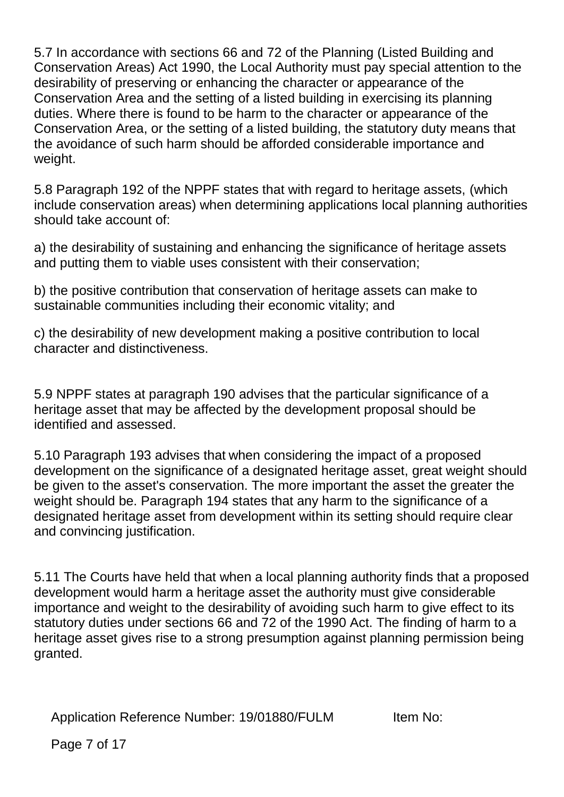5.7 In accordance with sections 66 and 72 of the Planning (Listed Building and Conservation Areas) Act 1990, the Local Authority must pay special attention to the desirability of preserving or enhancing the character or appearance of the Conservation Area and the setting of a listed building in exercising its planning duties. Where there is found to be harm to the character or appearance of the Conservation Area, or the setting of a listed building, the statutory duty means that the avoidance of such harm should be afforded considerable importance and weight.

5.8 Paragraph 192 of the NPPF states that with regard to heritage assets, (which include conservation areas) when determining applications local planning authorities should take account of:

a) the desirability of sustaining and enhancing the significance of heritage assets and putting them to viable uses consistent with their conservation;

b) the positive contribution that conservation of heritage assets can make to sustainable communities including their economic vitality; and

c) the desirability of new development making a positive contribution to local character and distinctiveness.

5.9 NPPF states at paragraph 190 advises that the particular significance of a heritage asset that may be affected by the development proposal should be identified and assessed.

5.10 Paragraph 193 advises that when considering the impact of a proposed development on the significance of a designated heritage asset, great weight should be given to the asset's conservation. The more important the asset the greater the weight should be. Paragraph 194 states that any harm to the significance of a designated heritage asset from development within its setting should require clear and convincing justification.

5.11 The Courts have held that when a local planning authority finds that a proposed development would harm a heritage asset the authority must give considerable importance and weight to the desirability of avoiding such harm to give effect to its statutory duties under sections 66 and 72 of the 1990 Act. The finding of harm to a heritage asset gives rise to a strong presumption against planning permission being granted.

Application Reference Number: 19/01880/FULM Item No:

Page 7 of 17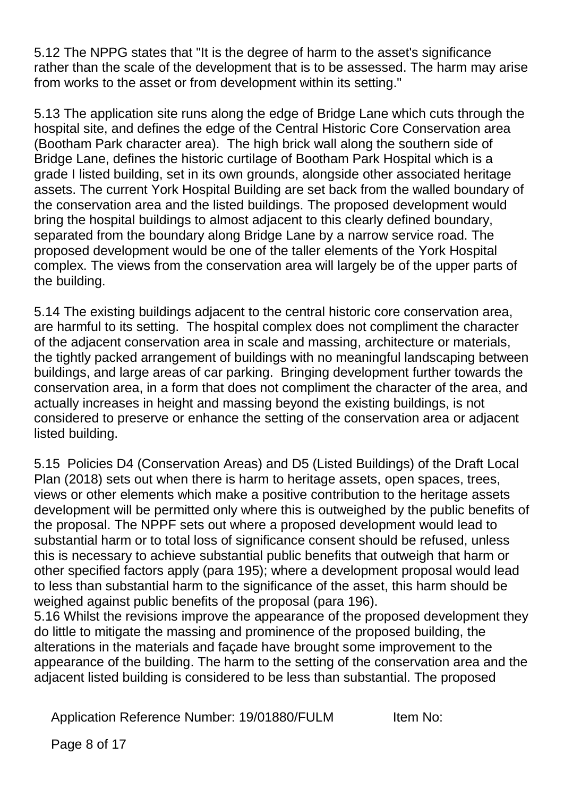5.12 The NPPG states that "It is the degree of harm to the asset's significance rather than the scale of the development that is to be assessed. The harm may arise from works to the asset or from development within its setting."

5.13 The application site runs along the edge of Bridge Lane which cuts through the hospital site, and defines the edge of the Central Historic Core Conservation area (Bootham Park character area). The high brick wall along the southern side of Bridge Lane, defines the historic curtilage of Bootham Park Hospital which is a grade I listed building, set in its own grounds, alongside other associated heritage assets. The current York Hospital Building are set back from the walled boundary of the conservation area and the listed buildings. The proposed development would bring the hospital buildings to almost adjacent to this clearly defined boundary, separated from the boundary along Bridge Lane by a narrow service road. The proposed development would be one of the taller elements of the York Hospital complex. The views from the conservation area will largely be of the upper parts of the building.

5.14 The existing buildings adjacent to the central historic core conservation area, are harmful to its setting. The hospital complex does not compliment the character of the adjacent conservation area in scale and massing, architecture or materials, the tightly packed arrangement of buildings with no meaningful landscaping between buildings, and large areas of car parking. Bringing development further towards the conservation area, in a form that does not compliment the character of the area, and actually increases in height and massing beyond the existing buildings, is not considered to preserve or enhance the setting of the conservation area or adjacent listed building.

5.15 Policies D4 (Conservation Areas) and D5 (Listed Buildings) of the Draft Local Plan (2018) sets out when there is harm to heritage assets, open spaces, trees, views or other elements which make a positive contribution to the heritage assets development will be permitted only where this is outweighed by the public benefits of the proposal. The NPPF sets out where a proposed development would lead to substantial harm or to total loss of significance consent should be refused, unless this is necessary to achieve substantial public benefits that outweigh that harm or other specified factors apply (para 195); where a development proposal would lead to less than substantial harm to the significance of the asset, this harm should be weighed against public benefits of the proposal (para 196).

5.16 Whilst the revisions improve the appearance of the proposed development they do little to mitigate the massing and prominence of the proposed building, the alterations in the materials and façade have brought some improvement to the appearance of the building. The harm to the setting of the conservation area and the adjacent listed building is considered to be less than substantial. The proposed

Application Reference Number: 19/01880/FULM Item No: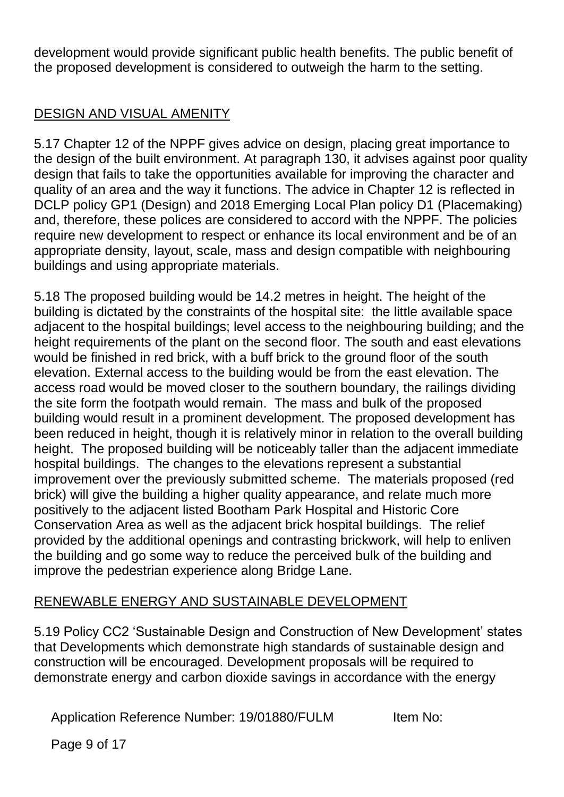development would provide significant public health benefits. The public benefit of the proposed development is considered to outweigh the harm to the setting.

## DESIGN AND VISUAL AMENITY

5.17 Chapter 12 of the NPPF gives advice on design, placing great importance to the design of the built environment. At paragraph 130, it advises against poor quality design that fails to take the opportunities available for improving the character and quality of an area and the way it functions. The advice in Chapter 12 is reflected in DCLP policy GP1 (Design) and 2018 Emerging Local Plan policy D1 (Placemaking) and, therefore, these polices are considered to accord with the NPPF. The policies require new development to respect or enhance its local environment and be of an appropriate density, layout, scale, mass and design compatible with neighbouring buildings and using appropriate materials.

5.18 The proposed building would be 14.2 metres in height. The height of the building is dictated by the constraints of the hospital site: the little available space adjacent to the hospital buildings; level access to the neighbouring building; and the height requirements of the plant on the second floor. The south and east elevations would be finished in red brick, with a buff brick to the ground floor of the south elevation. External access to the building would be from the east elevation. The access road would be moved closer to the southern boundary, the railings dividing the site form the footpath would remain. The mass and bulk of the proposed building would result in a prominent development. The proposed development has been reduced in height, though it is relatively minor in relation to the overall building height. The proposed building will be noticeably taller than the adjacent immediate hospital buildings. The changes to the elevations represent a substantial improvement over the previously submitted scheme. The materials proposed (red brick) will give the building a higher quality appearance, and relate much more positively to the adjacent listed Bootham Park Hospital and Historic Core Conservation Area as well as the adjacent brick hospital buildings. The relief provided by the additional openings and contrasting brickwork, will help to enliven the building and go some way to reduce the perceived bulk of the building and improve the pedestrian experience along Bridge Lane.

## RENEWABLE ENERGY AND SUSTAINABLE DEVELOPMENT

5.19 Policy CC2 'Sustainable Design and Construction of New Development' states that Developments which demonstrate high standards of sustainable design and construction will be encouraged. Development proposals will be required to demonstrate energy and carbon dioxide savings in accordance with the energy

Application Reference Number: 19/01880/FULM Item No:

Page 9 of 17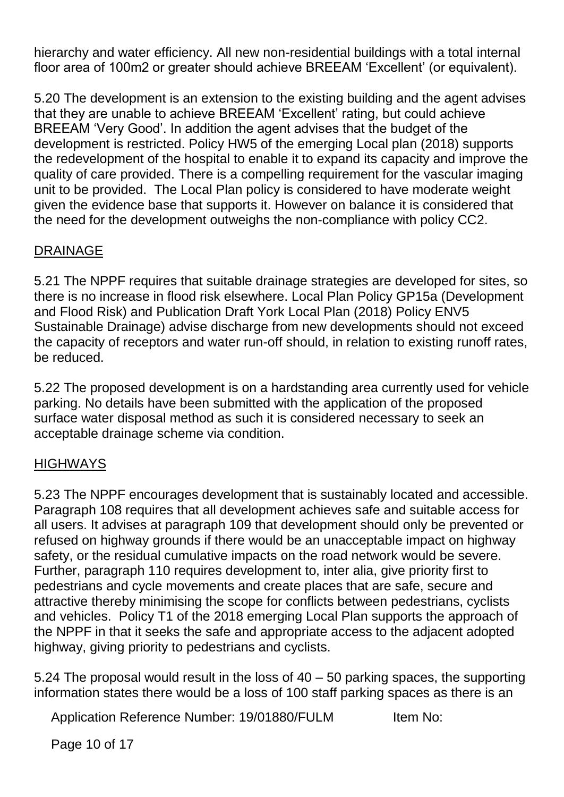hierarchy and water efficiency. All new non-residential buildings with a total internal floor area of 100m2 or greater should achieve BREEAM 'Excellent' (or equivalent).

5.20 The development is an extension to the existing building and the agent advises that they are unable to achieve BREEAM 'Excellent' rating, but could achieve BREEAM 'Very Good'. In addition the agent advises that the budget of the development is restricted. Policy HW5 of the emerging Local plan (2018) supports the redevelopment of the hospital to enable it to expand its capacity and improve the quality of care provided. There is a compelling requirement for the vascular imaging unit to be provided. The Local Plan policy is considered to have moderate weight given the evidence base that supports it. However on balance it is considered that the need for the development outweighs the non-compliance with policy CC2.

## DRAINAGE

5.21 The NPPF requires that suitable drainage strategies are developed for sites, so there is no increase in flood risk elsewhere. Local Plan Policy GP15a (Development and Flood Risk) and Publication Draft York Local Plan (2018) Policy ENV5 Sustainable Drainage) advise discharge from new developments should not exceed the capacity of receptors and water run-off should, in relation to existing runoff rates, be reduced.

5.22 The proposed development is on a hardstanding area currently used for vehicle parking. No details have been submitted with the application of the proposed surface water disposal method as such it is considered necessary to seek an acceptable drainage scheme via condition.

## **HIGHWAYS**

5.23 The NPPF encourages development that is sustainably located and accessible. Paragraph 108 requires that all development achieves safe and suitable access for all users. It advises at paragraph 109 that development should only be prevented or refused on highway grounds if there would be an unacceptable impact on highway safety, or the residual cumulative impacts on the road network would be severe. Further, paragraph 110 requires development to, inter alia, give priority first to pedestrians and cycle movements and create places that are safe, secure and attractive thereby minimising the scope for conflicts between pedestrians, cyclists and vehicles. Policy T1 of the 2018 emerging Local Plan supports the approach of the NPPF in that it seeks the safe and appropriate access to the adjacent adopted highway, giving priority to pedestrians and cyclists.

5.24 The proposal would result in the loss of 40 – 50 parking spaces, the supporting information states there would be a loss of 100 staff parking spaces as there is an

Application Reference Number: 19/01880/FULM Item No:

Page 10 of 17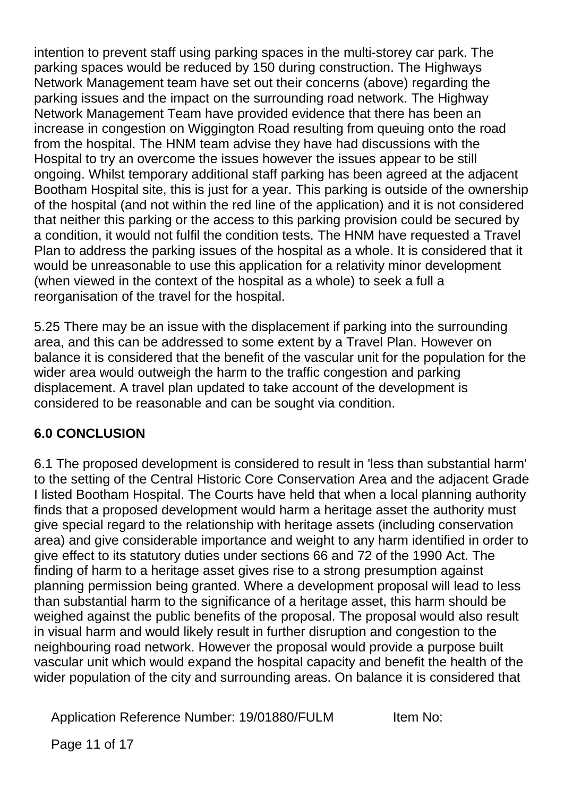intention to prevent staff using parking spaces in the multi-storey car park. The parking spaces would be reduced by 150 during construction. The Highways Network Management team have set out their concerns (above) regarding the parking issues and the impact on the surrounding road network. The Highway Network Management Team have provided evidence that there has been an increase in congestion on Wiggington Road resulting from queuing onto the road from the hospital. The HNM team advise they have had discussions with the Hospital to try an overcome the issues however the issues appear to be still ongoing. Whilst temporary additional staff parking has been agreed at the adjacent Bootham Hospital site, this is just for a year. This parking is outside of the ownership of the hospital (and not within the red line of the application) and it is not considered that neither this parking or the access to this parking provision could be secured by a condition, it would not fulfil the condition tests. The HNM have requested a Travel Plan to address the parking issues of the hospital as a whole. It is considered that it would be unreasonable to use this application for a relativity minor development (when viewed in the context of the hospital as a whole) to seek a full a reorganisation of the travel for the hospital.

5.25 There may be an issue with the displacement if parking into the surrounding area, and this can be addressed to some extent by a Travel Plan. However on balance it is considered that the benefit of the vascular unit for the population for the wider area would outweigh the harm to the traffic congestion and parking displacement. A travel plan updated to take account of the development is considered to be reasonable and can be sought via condition.

## **6.0 CONCLUSION**

6.1 The proposed development is considered to result in 'less than substantial harm' to the setting of the Central Historic Core Conservation Area and the adjacent Grade I listed Bootham Hospital. The Courts have held that when a local planning authority finds that a proposed development would harm a heritage asset the authority must give special regard to the relationship with heritage assets (including conservation area) and give considerable importance and weight to any harm identified in order to give effect to its statutory duties under sections 66 and 72 of the 1990 Act. The finding of harm to a heritage asset gives rise to a strong presumption against planning permission being granted. Where a development proposal will lead to less than substantial harm to the significance of a heritage asset, this harm should be weighed against the public benefits of the proposal. The proposal would also result in visual harm and would likely result in further disruption and congestion to the neighbouring road network. However the proposal would provide a purpose built vascular unit which would expand the hospital capacity and benefit the health of the wider population of the city and surrounding areas. On balance it is considered that

Application Reference Number: 19/01880/FULM Item No:

Page 11 of 17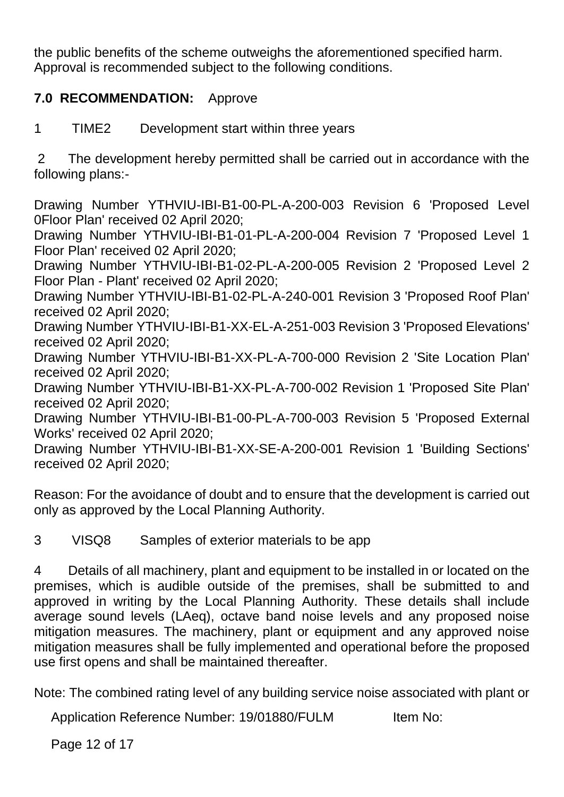the public benefits of the scheme outweighs the aforementioned specified harm. Approval is recommended subject to the following conditions.

## **7.0 RECOMMENDATION:** Approve

1 TIME2 Development start within three years

2 The development hereby permitted shall be carried out in accordance with the following plans:-

Drawing Number YTHVIU-IBI-B1-00-PL-A-200-003 Revision 6 'Proposed Level 0Floor Plan' received 02 April 2020;

Drawing Number YTHVIU-IBI-B1-01-PL-A-200-004 Revision 7 'Proposed Level 1 Floor Plan' received 02 April 2020;

Drawing Number YTHVIU-IBI-B1-02-PL-A-200-005 Revision 2 'Proposed Level 2 Floor Plan - Plant' received 02 April 2020;

Drawing Number YTHVIU-IBI-B1-02-PL-A-240-001 Revision 3 'Proposed Roof Plan' received 02 April 2020;

Drawing Number YTHVIU-IBI-B1-XX-EL-A-251-003 Revision 3 'Proposed Elevations' received 02 April 2020;

Drawing Number YTHVIU-IBI-B1-XX-PL-A-700-000 Revision 2 'Site Location Plan' received 02 April 2020;

Drawing Number YTHVIU-IBI-B1-XX-PL-A-700-002 Revision 1 'Proposed Site Plan' received 02 April 2020;

Drawing Number YTHVIU-IBI-B1-00-PL-A-700-003 Revision 5 'Proposed External Works' received 02 April 2020;

Drawing Number YTHVIU-IBI-B1-XX-SE-A-200-001 Revision 1 'Building Sections' received 02 April 2020;

Reason: For the avoidance of doubt and to ensure that the development is carried out only as approved by the Local Planning Authority.

3 VISQ8 Samples of exterior materials to be app

4 Details of all machinery, plant and equipment to be installed in or located on the premises, which is audible outside of the premises, shall be submitted to and approved in writing by the Local Planning Authority. These details shall include average sound levels (LAeq), octave band noise levels and any proposed noise mitigation measures. The machinery, plant or equipment and any approved noise mitigation measures shall be fully implemented and operational before the proposed use first opens and shall be maintained thereafter.

Note: The combined rating level of any building service noise associated with plant or

Application Reference Number: 19/01880/FULM Item No:

Page 12 of 17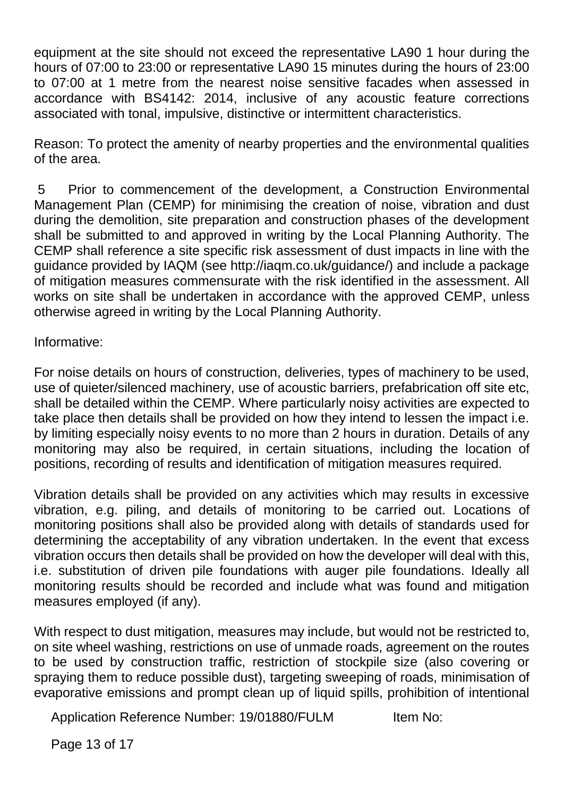equipment at the site should not exceed the representative LA90 1 hour during the hours of 07:00 to 23:00 or representative LA90 15 minutes during the hours of 23:00 to 07:00 at 1 metre from the nearest noise sensitive facades when assessed in accordance with BS4142: 2014, inclusive of any acoustic feature corrections associated with tonal, impulsive, distinctive or intermittent characteristics.

Reason: To protect the amenity of nearby properties and the environmental qualities of the area.

5 Prior to commencement of the development, a Construction Environmental Management Plan (CEMP) for minimising the creation of noise, vibration and dust during the demolition, site preparation and construction phases of the development shall be submitted to and approved in writing by the Local Planning Authority. The CEMP shall reference a site specific risk assessment of dust impacts in line with the guidance provided by IAQM (see http://iaqm.co.uk/guidance/) and include a package of mitigation measures commensurate with the risk identified in the assessment. All works on site shall be undertaken in accordance with the approved CEMP, unless otherwise agreed in writing by the Local Planning Authority.

Informative:

For noise details on hours of construction, deliveries, types of machinery to be used, use of quieter/silenced machinery, use of acoustic barriers, prefabrication off site etc, shall be detailed within the CEMP. Where particularly noisy activities are expected to take place then details shall be provided on how they intend to lessen the impact i.e. by limiting especially noisy events to no more than 2 hours in duration. Details of any monitoring may also be required, in certain situations, including the location of positions, recording of results and identification of mitigation measures required.

Vibration details shall be provided on any activities which may results in excessive vibration, e.g. piling, and details of monitoring to be carried out. Locations of monitoring positions shall also be provided along with details of standards used for determining the acceptability of any vibration undertaken. In the event that excess vibration occurs then details shall be provided on how the developer will deal with this, i.e. substitution of driven pile foundations with auger pile foundations. Ideally all monitoring results should be recorded and include what was found and mitigation measures employed (if any).

With respect to dust mitigation, measures may include, but would not be restricted to, on site wheel washing, restrictions on use of unmade roads, agreement on the routes to be used by construction traffic, restriction of stockpile size (also covering or spraying them to reduce possible dust), targeting sweeping of roads, minimisation of evaporative emissions and prompt clean up of liquid spills, prohibition of intentional

Application Reference Number: 19/01880/FULM Item No:

Page 13 of 17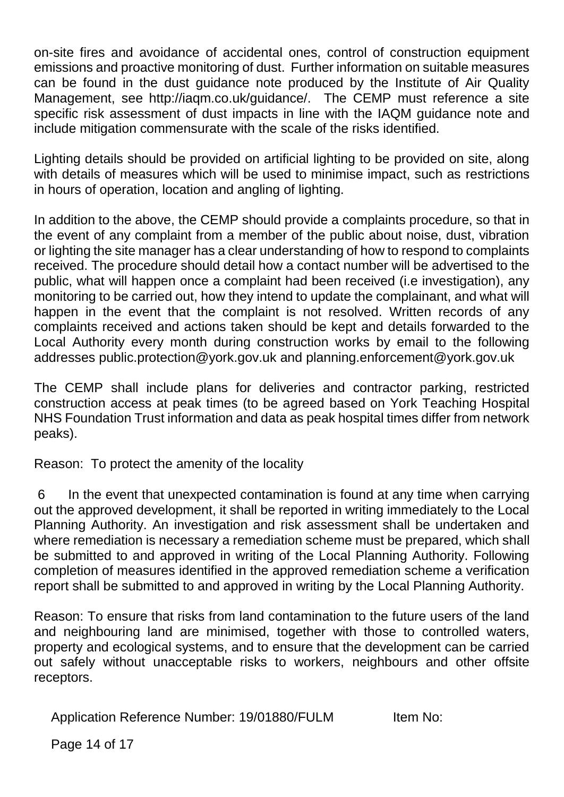on-site fires and avoidance of accidental ones, control of construction equipment emissions and proactive monitoring of dust. Further information on suitable measures can be found in the dust guidance note produced by the Institute of Air Quality Management, see http://iaqm.co.uk/guidance/. The CEMP must reference a site specific risk assessment of dust impacts in line with the IAQM guidance note and include mitigation commensurate with the scale of the risks identified.

Lighting details should be provided on artificial lighting to be provided on site, along with details of measures which will be used to minimise impact, such as restrictions in hours of operation, location and angling of lighting.

In addition to the above, the CEMP should provide a complaints procedure, so that in the event of any complaint from a member of the public about noise, dust, vibration or lighting the site manager has a clear understanding of how to respond to complaints received. The procedure should detail how a contact number will be advertised to the public, what will happen once a complaint had been received (i.e investigation), any monitoring to be carried out, how they intend to update the complainant, and what will happen in the event that the complaint is not resolved. Written records of any complaints received and actions taken should be kept and details forwarded to the Local Authority every month during construction works by email to the following addresses public.protection@york.gov.uk and planning.enforcement@york.gov.uk

The CEMP shall include plans for deliveries and contractor parking, restricted construction access at peak times (to be agreed based on York Teaching Hospital NHS Foundation Trust information and data as peak hospital times differ from network peaks).

Reason: To protect the amenity of the locality

6 In the event that unexpected contamination is found at any time when carrying out the approved development, it shall be reported in writing immediately to the Local Planning Authority. An investigation and risk assessment shall be undertaken and where remediation is necessary a remediation scheme must be prepared, which shall be submitted to and approved in writing of the Local Planning Authority. Following completion of measures identified in the approved remediation scheme a verification report shall be submitted to and approved in writing by the Local Planning Authority.

Reason: To ensure that risks from land contamination to the future users of the land and neighbouring land are minimised, together with those to controlled waters, property and ecological systems, and to ensure that the development can be carried out safely without unacceptable risks to workers, neighbours and other offsite receptors.

Application Reference Number: 19/01880/FULM Item No:

Page 14 of 17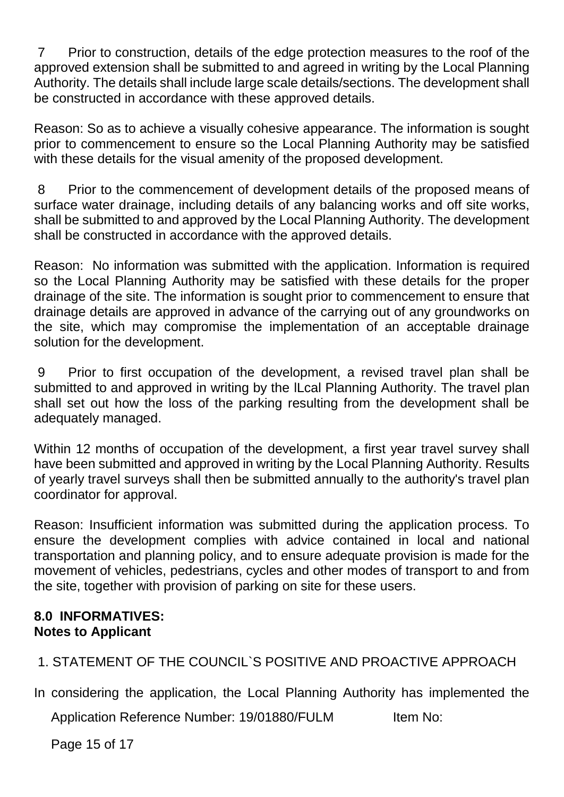7 Prior to construction, details of the edge protection measures to the roof of the approved extension shall be submitted to and agreed in writing by the Local Planning Authority. The details shall include large scale details/sections. The development shall be constructed in accordance with these approved details.

Reason: So as to achieve a visually cohesive appearance. The information is sought prior to commencement to ensure so the Local Planning Authority may be satisfied with these details for the visual amenity of the proposed development.

8 Prior to the commencement of development details of the proposed means of surface water drainage, including details of any balancing works and off site works, shall be submitted to and approved by the Local Planning Authority. The development shall be constructed in accordance with the approved details.

Reason: No information was submitted with the application. Information is required so the Local Planning Authority may be satisfied with these details for the proper drainage of the site. The information is sought prior to commencement to ensure that drainage details are approved in advance of the carrying out of any groundworks on the site, which may compromise the implementation of an acceptable drainage solution for the development.

9 Prior to first occupation of the development, a revised travel plan shall be submitted to and approved in writing by the lLcal Planning Authority. The travel plan shall set out how the loss of the parking resulting from the development shall be adequately managed.

Within 12 months of occupation of the development, a first year travel survey shall have been submitted and approved in writing by the Local Planning Authority. Results of yearly travel surveys shall then be submitted annually to the authority's travel plan coordinator for approval.

Reason: Insufficient information was submitted during the application process. To ensure the development complies with advice contained in local and national transportation and planning policy, and to ensure adequate provision is made for the movement of vehicles, pedestrians, cycles and other modes of transport to and from the site, together with provision of parking on site for these users.

## **8.0 INFORMATIVES: Notes to Applicant**

1. STATEMENT OF THE COUNCIL`S POSITIVE AND PROACTIVE APPROACH

In considering the application, the Local Planning Authority has implemented the

Application Reference Number: 19/01880/FULM Item No:

Page 15 of 17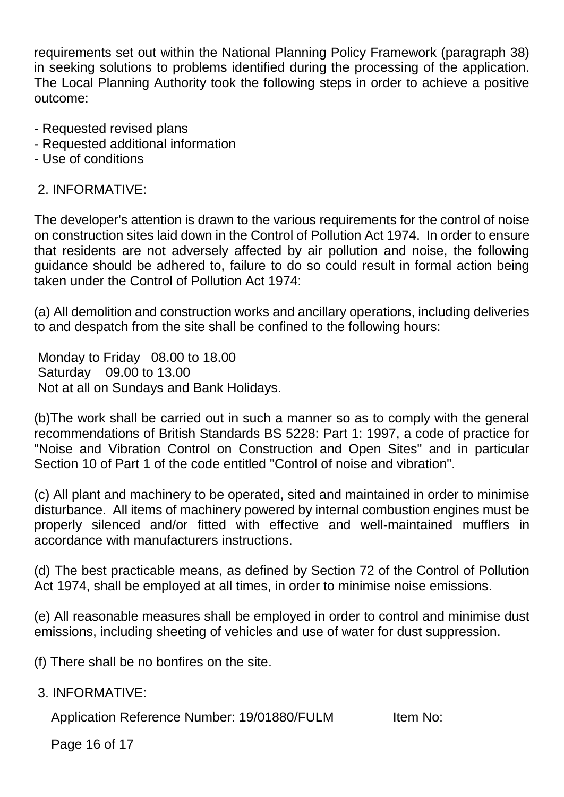requirements set out within the National Planning Policy Framework (paragraph 38) in seeking solutions to problems identified during the processing of the application. The Local Planning Authority took the following steps in order to achieve a positive outcome:

- Requested revised plans
- Requested additional information
- Use of conditions

#### 2. INFORMATIVE:

The developer's attention is drawn to the various requirements for the control of noise on construction sites laid down in the Control of Pollution Act 1974. In order to ensure that residents are not adversely affected by air pollution and noise, the following guidance should be adhered to, failure to do so could result in formal action being taken under the Control of Pollution Act 1974:

(a) All demolition and construction works and ancillary operations, including deliveries to and despatch from the site shall be confined to the following hours:

Monday to Friday 08.00 to 18.00 Saturday 09.00 to 13.00 Not at all on Sundays and Bank Holidays.

(b)The work shall be carried out in such a manner so as to comply with the general recommendations of British Standards BS 5228: Part 1: 1997, a code of practice for "Noise and Vibration Control on Construction and Open Sites" and in particular Section 10 of Part 1 of the code entitled "Control of noise and vibration".

(c) All plant and machinery to be operated, sited and maintained in order to minimise disturbance. All items of machinery powered by internal combustion engines must be properly silenced and/or fitted with effective and well-maintained mufflers in accordance with manufacturers instructions.

(d) The best practicable means, as defined by Section 72 of the Control of Pollution Act 1974, shall be employed at all times, in order to minimise noise emissions.

(e) All reasonable measures shall be employed in order to control and minimise dust emissions, including sheeting of vehicles and use of water for dust suppression.

(f) There shall be no bonfires on the site.

3. INFORMATIVE:

Application Reference Number: 19/01880/FULM Item No:

Page 16 of 17